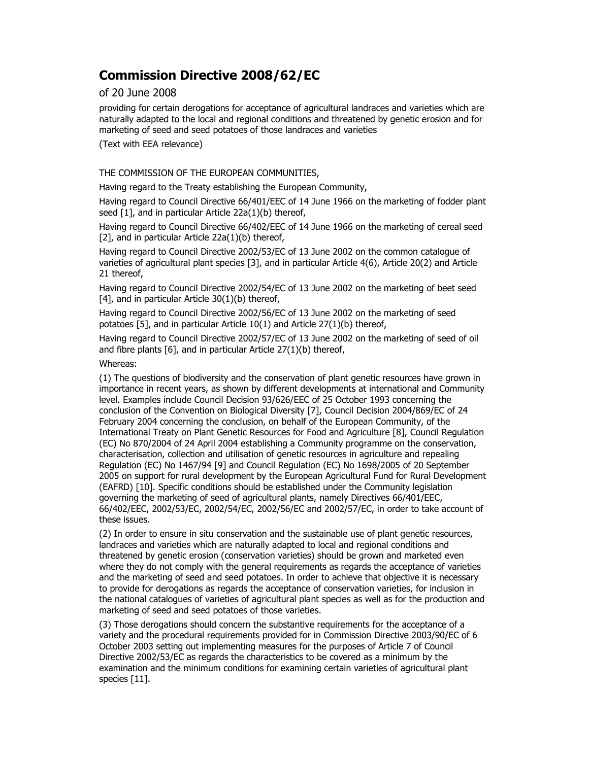# Commission Directive 2008/62/EC

# of 20 June 2008

providing for certain derogations for acceptance of agricultural landraces and varieties which are naturally adapted to the local and regional conditions and threatened by genetic erosion and for marketing of seed and seed potatoes of those landraces and varieties

(Text with EEA relevance)

### THE COMMISSION OF THE EUROPEAN COMMUNITIES,

Having regard to the Treaty establishing the European Community,

Having regard to Council Directive 66/401/EEC of 14 June 1966 on the marketing of fodder plant seed [1], and in particular Article 22a(1)(b) thereof,

Having regard to Council Directive 66/402/EEC of 14 June 1966 on the marketing of cereal seed [2], and in particular Article 22a(1)(b) thereof,

Having regard to Council Directive 2002/53/EC of 13 June 2002 on the common catalogue of varieties of agricultural plant species [3], and in particular Article 4(6), Article 20(2) and Article 21 thereof,

Having regard to Council Directive 2002/54/EC of 13 June 2002 on the marketing of beet seed [4], and in particular Article 30(1)(b) thereof,

Having regard to Council Directive 2002/56/EC of 13 June 2002 on the marketing of seed potatoes [5], and in particular Article 10(1) and Article 27(1)(b) thereof,

Having regard to Council Directive 2002/57/EC of 13 June 2002 on the marketing of seed of oil and fibre plants [6], and in particular Article 27(1)(b) thereof,

### Whereas:

(1) The questions of biodiversity and the conservation of plant genetic resources have grown in importance in recent years, as shown by different developments at international and Community level. Examples include Council Decision 93/626/EEC of 25 October 1993 concerning the conclusion of the Convention on Biological Diversity [7], Council Decision 2004/869/EC of 24 February 2004 concerning the conclusion, on behalf of the European Community, of the International Treaty on Plant Genetic Resources for Food and Agriculture [8], Council Regulation (EC) No 870/2004 of 24 April 2004 establishing a Community programme on the conservation, characterisation, collection and utilisation of genetic resources in agriculture and repealing Regulation (EC) No 1467/94 [9] and Council Regulation (EC) No 1698/2005 of 20 September 2005 on support for rural development by the European Agricultural Fund for Rural Development (EAFRD) [10]. Specific conditions should be established under the Community legislation governing the marketing of seed of agricultural plants, namely Directives 66/401/EEC, 66/402/EEC, 2002/53/EC, 2002/54/EC, 2002/56/EC and 2002/57/EC, in order to take account of these issues.

(2) In order to ensure in situ conservation and the sustainable use of plant genetic resources, landraces and varieties which are naturally adapted to local and regional conditions and threatened by genetic erosion (conservation varieties) should be grown and marketed even where they do not comply with the general requirements as regards the acceptance of varieties and the marketing of seed and seed potatoes. In order to achieve that objective it is necessary to provide for derogations as regards the acceptance of conservation varieties, for inclusion in the national catalogues of varieties of agricultural plant species as well as for the production and marketing of seed and seed potatoes of those varieties.

(3) Those derogations should concern the substantive requirements for the acceptance of a variety and the procedural requirements provided for in Commission Directive 2003/90/EC of 6 October 2003 setting out implementing measures for the purposes of Article 7 of Council Directive 2002/53/EC as regards the characteristics to be covered as a minimum by the examination and the minimum conditions for examining certain varieties of agricultural plant species [11].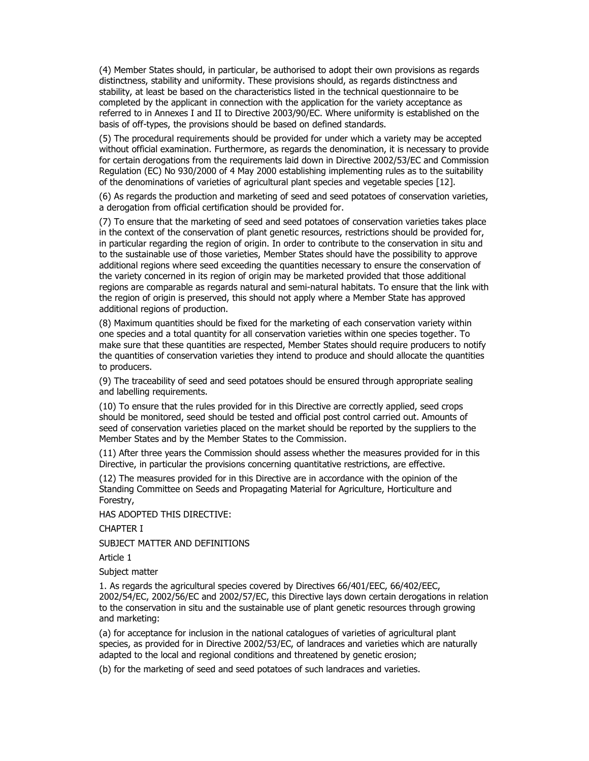(4) Member States should, in particular, be authorised to adopt their own provisions as regards distinctness, stability and uniformity. These provisions should, as regards distinctness and stability, at least be based on the characteristics listed in the technical questionnaire to be completed by the applicant in connection with the application for the variety acceptance as referred to in Annexes I and II to Directive 2003/90/EC. Where uniformity is established on the basis of off-types, the provisions should be based on defined standards.

(5) The procedural requirements should be provided for under which a variety may be accepted without official examination. Furthermore, as regards the denomination, it is necessary to provide for certain derogations from the requirements laid down in Directive 2002/53/EC and Commission Regulation (EC) No 930/2000 of 4 May 2000 establishing implementing rules as to the suitability of the denominations of varieties of agricultural plant species and vegetable species [12].

(6) As regards the production and marketing of seed and seed potatoes of conservation varieties, a derogation from official certification should be provided for.

(7) To ensure that the marketing of seed and seed potatoes of conservation varieties takes place in the context of the conservation of plant genetic resources, restrictions should be provided for, in particular regarding the region of origin. In order to contribute to the conservation in situ and to the sustainable use of those varieties, Member States should have the possibility to approve additional regions where seed exceeding the quantities necessary to ensure the conservation of the variety concerned in its region of origin may be marketed provided that those additional regions are comparable as regards natural and semi-natural habitats. To ensure that the link with the region of origin is preserved, this should not apply where a Member State has approved additional regions of production.

(8) Maximum quantities should be fixed for the marketing of each conservation variety within one species and a total quantity for all conservation varieties within one species together. To make sure that these quantities are respected, Member States should require producers to notify the quantities of conservation varieties they intend to produce and should allocate the quantities to producers.

(9) The traceability of seed and seed potatoes should be ensured through appropriate sealing and labelling requirements.

(10) To ensure that the rules provided for in this Directive are correctly applied, seed crops should be monitored, seed should be tested and official post control carried out. Amounts of seed of conservation varieties placed on the market should be reported by the suppliers to the Member States and by the Member States to the Commission.

(11) After three years the Commission should assess whether the measures provided for in this Directive, in particular the provisions concerning quantitative restrictions, are effective.

(12) The measures provided for in this Directive are in accordance with the opinion of the Standing Committee on Seeds and Propagating Material for Agriculture, Horticulture and Forestry,

HAS ADOPTED THIS DIRECTIVE:

CHAPTER I

SUBJECT MATTER AND DEFINITIONS

Article 1

Subject matter

1. As regards the agricultural species covered by Directives 66/401/EEC, 66/402/EEC, 2002/54/EC, 2002/56/EC and 2002/57/EC, this Directive lays down certain derogations in relation to the conservation in situ and the sustainable use of plant genetic resources through growing and marketing:

(a) for acceptance for inclusion in the national catalogues of varieties of agricultural plant species, as provided for in Directive 2002/53/EC, of landraces and varieties which are naturally adapted to the local and regional conditions and threatened by genetic erosion;

(b) for the marketing of seed and seed potatoes of such landraces and varieties.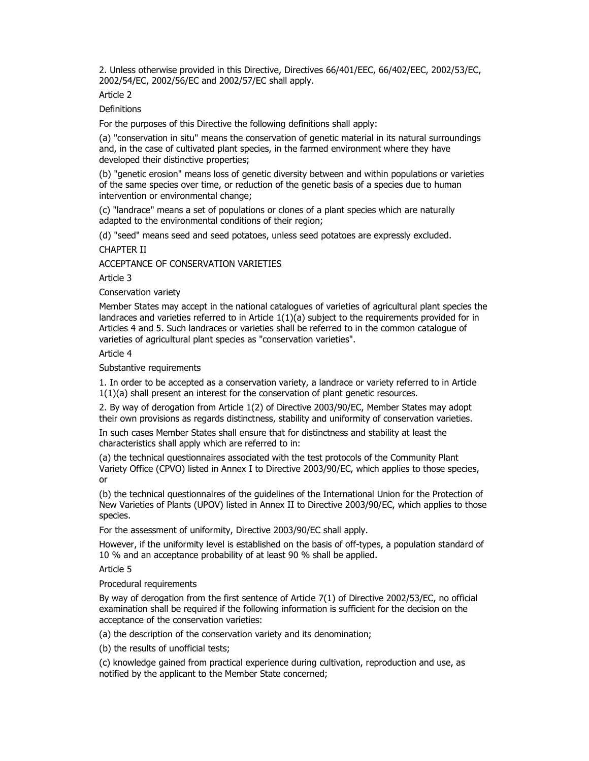2. Unless otherwise provided in this Directive, Directives 66/401/EEC, 66/402/EEC, 2002/53/EC, 2002/54/EC, 2002/56/EC and 2002/57/EC shall apply.

Article 2

**Definitions** 

For the purposes of this Directive the following definitions shall apply:

(a) "conservation in situ" means the conservation of genetic material in its natural surroundings and, in the case of cultivated plant species, in the farmed environment where they have developed their distinctive properties;

(b) "genetic erosion" means loss of genetic diversity between and within populations or varieties of the same species over time, or reduction of the genetic basis of a species due to human intervention or environmental change;

(c) "landrace" means a set of populations or clones of a plant species which are naturally adapted to the environmental conditions of their region;

(d) "seed" means seed and seed potatoes, unless seed potatoes are expressly excluded. CHAPTER II

ACCEPTANCE OF CONSERVATION VARIETIES

Article 3

Conservation variety

Member States may accept in the national catalogues of varieties of agricultural plant species the landraces and varieties referred to in Article 1(1)(a) subject to the requirements provided for in Articles 4 and 5. Such landraces or varieties shall be referred to in the common catalogue of varieties of agricultural plant species as "conservation varieties".

Article 4

Substantive requirements

1. In order to be accepted as a conservation variety, a landrace or variety referred to in Article 1(1)(a) shall present an interest for the conservation of plant genetic resources.

2. By way of derogation from Article 1(2) of Directive 2003/90/EC, Member States may adopt their own provisions as regards distinctness, stability and uniformity of conservation varieties.

In such cases Member States shall ensure that for distinctness and stability at least the characteristics shall apply which are referred to in:

(a) the technical questionnaires associated with the test protocols of the Community Plant Variety Office (CPVO) listed in Annex I to Directive 2003/90/EC, which applies to those species, or

(b) the technical questionnaires of the guidelines of the International Union for the Protection of New Varieties of Plants (UPOV) listed in Annex II to Directive 2003/90/EC, which applies to those species.

For the assessment of uniformity, Directive 2003/90/EC shall apply.

However, if the uniformity level is established on the basis of off-types, a population standard of 10 % and an acceptance probability of at least 90 % shall be applied.

Article 5

Procedural requirements

By way of derogation from the first sentence of Article 7(1) of Directive 2002/53/EC, no official examination shall be required if the following information is sufficient for the decision on the acceptance of the conservation varieties:

(a) the description of the conservation variety and its denomination;

(b) the results of unofficial tests;

(c) knowledge gained from practical experience during cultivation, reproduction and use, as notified by the applicant to the Member State concerned;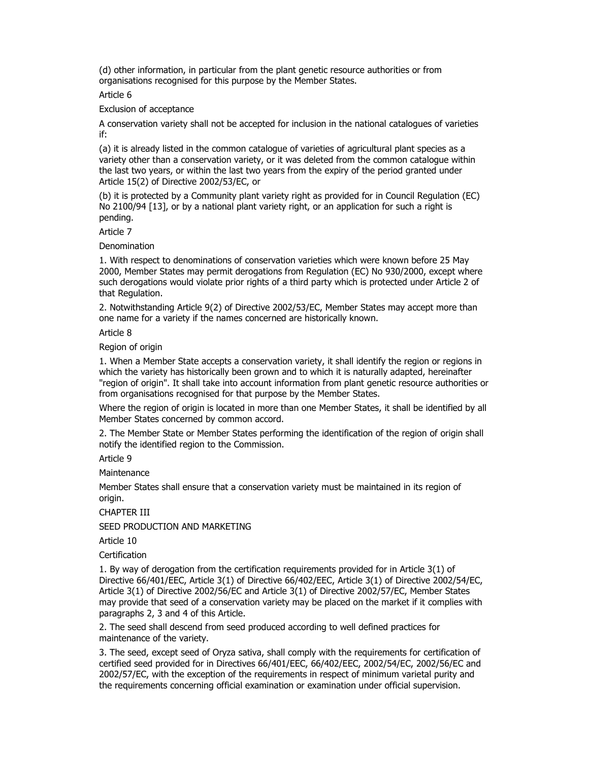(d) other information, in particular from the plant genetic resource authorities or from organisations recognised for this purpose by the Member States.

Article 6

Exclusion of acceptance

A conservation variety shall not be accepted for inclusion in the national catalogues of varieties if:

(a) it is already listed in the common catalogue of varieties of agricultural plant species as a variety other than a conservation variety, or it was deleted from the common catalogue within the last two years, or within the last two years from the expiry of the period granted under Article 15(2) of Directive 2002/53/EC, or

(b) it is protected by a Community plant variety right as provided for in Council Regulation (EC) No 2100/94 [13], or by a national plant variety right, or an application for such a right is pending.

Article 7

Denomination

1. With respect to denominations of conservation varieties which were known before 25 May 2000, Member States may permit derogations from Regulation (EC) No 930/2000, except where such derogations would violate prior rights of a third party which is protected under Article 2 of that Regulation.

2. Notwithstanding Article 9(2) of Directive 2002/53/EC, Member States may accept more than one name for a variety if the names concerned are historically known.

Article 8

Region of origin

1. When a Member State accepts a conservation variety, it shall identify the region or regions in which the variety has historically been grown and to which it is naturally adapted, hereinafter "region of origin". It shall take into account information from plant genetic resource authorities or from organisations recognised for that purpose by the Member States.

Where the region of origin is located in more than one Member States, it shall be identified by all Member States concerned by common accord.

2. The Member State or Member States performing the identification of the region of origin shall notify the identified region to the Commission.

Article 9

Maintenance

Member States shall ensure that a conservation variety must be maintained in its region of origin.

CHAPTER III

SEED PRODUCTION AND MARKETING

Article 10

Certification

1. By way of derogation from the certification requirements provided for in Article 3(1) of Directive 66/401/EEC, Article 3(1) of Directive 66/402/EEC, Article 3(1) of Directive 2002/54/EC, Article 3(1) of Directive 2002/56/EC and Article 3(1) of Directive 2002/57/EC, Member States may provide that seed of a conservation variety may be placed on the market if it complies with paragraphs 2, 3 and 4 of this Article.

2. The seed shall descend from seed produced according to well defined practices for maintenance of the variety.

3. The seed, except seed of Oryza sativa, shall comply with the requirements for certification of certified seed provided for in Directives 66/401/EEC, 66/402/EEC, 2002/54/EC, 2002/56/EC and 2002/57/EC, with the exception of the requirements in respect of minimum varietal purity and the requirements concerning official examination or examination under official supervision.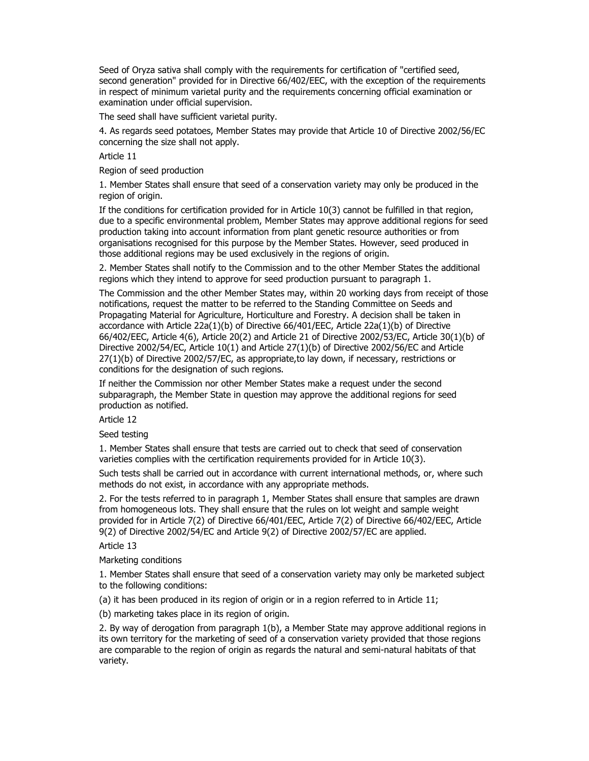Seed of Oryza sativa shall comply with the requirements for certification of "certified seed, second generation" provided for in Directive 66/402/EEC, with the exception of the requirements in respect of minimum varietal purity and the requirements concerning official examination or examination under official supervision.

The seed shall have sufficient varietal purity.

4. As regards seed potatoes, Member States may provide that Article 10 of Directive 2002/56/EC concerning the size shall not apply.

Article 11

Region of seed production

1. Member States shall ensure that seed of a conservation variety may only be produced in the region of origin.

If the conditions for certification provided for in Article 10(3) cannot be fulfilled in that region, due to a specific environmental problem, Member States may approve additional regions for seed production taking into account information from plant genetic resource authorities or from organisations recognised for this purpose by the Member States. However, seed produced in those additional regions may be used exclusively in the regions of origin.

2. Member States shall notify to the Commission and to the other Member States the additional regions which they intend to approve for seed production pursuant to paragraph 1.

The Commission and the other Member States may, within 20 working days from receipt of those notifications, request the matter to be referred to the Standing Committee on Seeds and Propagating Material for Agriculture, Horticulture and Forestry. A decision shall be taken in accordance with Article 22a(1)(b) of Directive 66/401/EEC, Article 22a(1)(b) of Directive 66/402/EEC, Article 4(6), Article 20(2) and Article 21 of Directive 2002/53/EC, Article 30(1)(b) of Directive 2002/54/EC, Article 10(1) and Article 27(1)(b) of Directive 2002/56/EC and Article 27(1)(b) of Directive 2002/57/EC, as appropriate,to lay down, if necessary, restrictions or conditions for the designation of such regions.

If neither the Commission nor other Member States make a request under the second subparagraph, the Member State in question may approve the additional regions for seed production as notified.

Article 12

Seed testing

1. Member States shall ensure that tests are carried out to check that seed of conservation varieties complies with the certification requirements provided for in Article 10(3).

Such tests shall be carried out in accordance with current international methods, or, where such methods do not exist, in accordance with any appropriate methods.

2. For the tests referred to in paragraph 1, Member States shall ensure that samples are drawn from homogeneous lots. They shall ensure that the rules on lot weight and sample weight provided for in Article 7(2) of Directive 66/401/EEC, Article 7(2) of Directive 66/402/EEC, Article 9(2) of Directive 2002/54/EC and Article 9(2) of Directive 2002/57/EC are applied.

Article 13

Marketing conditions

1. Member States shall ensure that seed of a conservation variety may only be marketed subject to the following conditions:

(a) it has been produced in its region of origin or in a region referred to in Article 11;

(b) marketing takes place in its region of origin.

2. By way of derogation from paragraph 1(b), a Member State may approve additional regions in its own territory for the marketing of seed of a conservation variety provided that those regions are comparable to the region of origin as regards the natural and semi-natural habitats of that variety.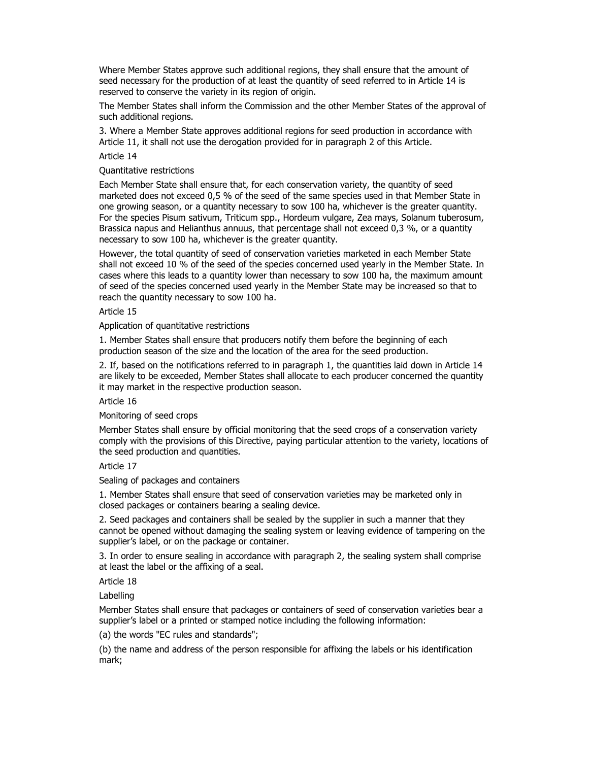Where Member States approve such additional regions, they shall ensure that the amount of seed necessary for the production of at least the quantity of seed referred to in Article 14 is reserved to conserve the variety in its region of origin.

The Member States shall inform the Commission and the other Member States of the approval of such additional regions.

3. Where a Member State approves additional regions for seed production in accordance with Article 11, it shall not use the derogation provided for in paragraph 2 of this Article.

## Article 14

#### Quantitative restrictions

Each Member State shall ensure that, for each conservation variety, the quantity of seed marketed does not exceed 0,5 % of the seed of the same species used in that Member State in one growing season, or a quantity necessary to sow 100 ha, whichever is the greater quantity. For the species Pisum sativum, Triticum spp., Hordeum vulgare, Zea mays, Solanum tuberosum, Brassica napus and Helianthus annuus, that percentage shall not exceed 0,3 %, or a quantity necessary to sow 100 ha, whichever is the greater quantity.

However, the total quantity of seed of conservation varieties marketed in each Member State shall not exceed 10 % of the seed of the species concerned used yearly in the Member State. In cases where this leads to a quantity lower than necessary to sow 100 ha, the maximum amount of seed of the species concerned used yearly in the Member State may be increased so that to reach the quantity necessary to sow 100 ha.

#### Article 15

Application of quantitative restrictions

1. Member States shall ensure that producers notify them before the beginning of each production season of the size and the location of the area for the seed production.

2. If, based on the notifications referred to in paragraph 1, the quantities laid down in Article 14 are likely to be exceeded, Member States shall allocate to each producer concerned the quantity it may market in the respective production season.

Article 16

Monitoring of seed crops

Member States shall ensure by official monitoring that the seed crops of a conservation variety comply with the provisions of this Directive, paying particular attention to the variety, locations of the seed production and quantities.

Article 17

Sealing of packages and containers

1. Member States shall ensure that seed of conservation varieties may be marketed only in closed packages or containers bearing a sealing device.

2. Seed packages and containers shall be sealed by the supplier in such a manner that they cannot be opened without damaging the sealing system or leaving evidence of tampering on the supplier's label, or on the package or container.

3. In order to ensure sealing in accordance with paragraph 2, the sealing system shall comprise at least the label or the affixing of a seal.

Article 18

Labelling

Member States shall ensure that packages or containers of seed of conservation varieties bear a supplier's label or a printed or stamped notice including the following information:

(a) the words "EC rules and standards";

(b) the name and address of the person responsible for affixing the labels or his identification mark;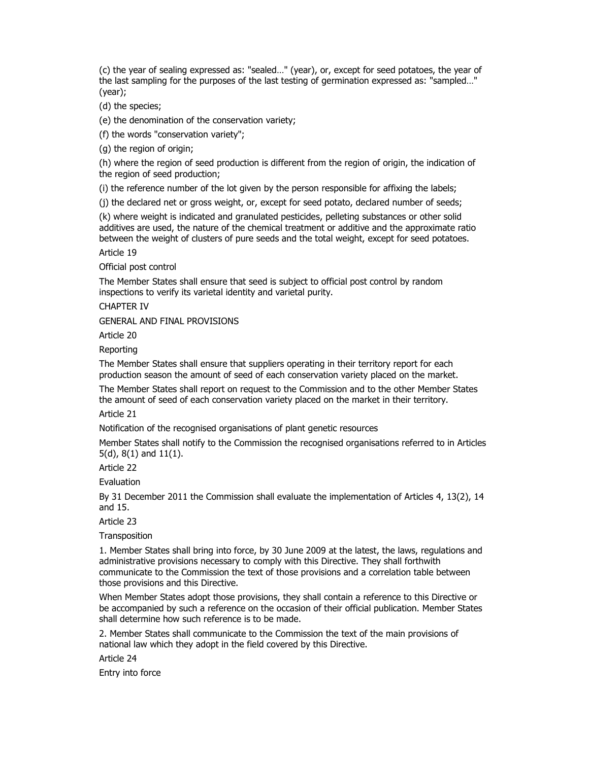(c) the year of sealing expressed as: "sealed…" (year), or, except for seed potatoes, the year of the last sampling for the purposes of the last testing of germination expressed as: "sampled…" (year);

(d) the species;

(e) the denomination of the conservation variety;

(f) the words "conservation variety";

(g) the region of origin;

(h) where the region of seed production is different from the region of origin, the indication of the region of seed production;

(i) the reference number of the lot given by the person responsible for affixing the labels;

(j) the declared net or gross weight, or, except for seed potato, declared number of seeds;

(k) where weight is indicated and granulated pesticides, pelleting substances or other solid additives are used, the nature of the chemical treatment or additive and the approximate ratio between the weight of clusters of pure seeds and the total weight, except for seed potatoes.

Article 19

Official post control

The Member States shall ensure that seed is subject to official post control by random inspections to verify its varietal identity and varietal purity.

CHAPTER IV

GENERAL AND FINAL PROVISIONS

Article 20

Reporting

The Member States shall ensure that suppliers operating in their territory report for each production season the amount of seed of each conservation variety placed on the market.

The Member States shall report on request to the Commission and to the other Member States the amount of seed of each conservation variety placed on the market in their territory.

Article 21

Notification of the recognised organisations of plant genetic resources

Member States shall notify to the Commission the recognised organisations referred to in Articles 5(d), 8(1) and 11(1).

Article 22

Evaluation

By 31 December 2011 the Commission shall evaluate the implementation of Articles 4, 13(2), 14 and 15.

Article 23

**Transposition** 

1. Member States shall bring into force, by 30 June 2009 at the latest, the laws, regulations and administrative provisions necessary to comply with this Directive. They shall forthwith communicate to the Commission the text of those provisions and a correlation table between those provisions and this Directive.

When Member States adopt those provisions, they shall contain a reference to this Directive or be accompanied by such a reference on the occasion of their official publication. Member States shall determine how such reference is to be made.

2. Member States shall communicate to the Commission the text of the main provisions of national law which they adopt in the field covered by this Directive.

Article 24

Entry into force